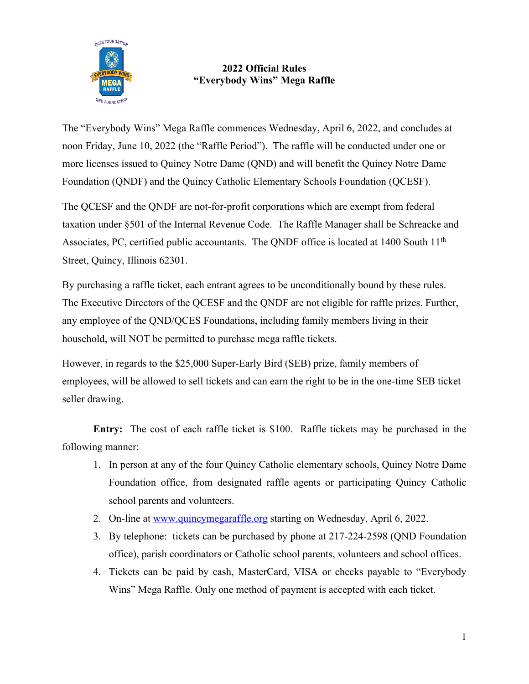

#### **2022 Official Rules "Everybody Wins" Mega Raffle**

The "Everybody Wins" Mega Raffle commences Wednesday, April 6, 2022, and concludes at noon Friday, June 10, 2022 (the "Raffle Period"). The raffle will be conducted under one or more licenses issued to Quincy Notre Dame (QND) and will benefit the Quincy Notre Dame Foundation (QNDF) and the Quincy Catholic Elementary Schools Foundation (QCESF).

The QCESF and the QNDF are not-for-profit corporations which are exempt from federal taxation under §501 of the Internal Revenue Code. The Raffle Manager shall be Schreacke and Associates, PC, certified public accountants. The QNDF office is located at 1400 South 11<sup>th</sup> Street, Quincy, Illinois 62301.

By purchasing a raffle ticket, each entrant agrees to be unconditionally bound by these rules. The Executive Directors of the QCESF and the QNDF are not eligible for raffle prizes. Further, any employee of the QND/QCES Foundations, including family members living in their household, will NOT be permitted to purchase mega raffle tickets.

However, in regards to the \$25,000 Super-Early Bird (SEB) prize, family members of employees, will be allowed to sell tickets and can earn the right to be in the one-time SEB ticket seller drawing.

**Entry:** The cost of each raffle ticket is \$100. Raffle tickets may be purchased in the following manner:

- 1. In person at any of the four Quincy Catholic elementary schools, Quincy Notre Dame Foundation office, from designated raffle agents or participating Quincy Catholic school parents and volunteers.
- 2. On-line at www.quincymegaraffle.org starting on Wednesday, April 6, 2022.
- 3. By telephone: tickets can be purchased by phone at 217-224-2598 (QND Foundation office), parish coordinators or Catholic school parents, volunteers and school offices.
- 4. Tickets can be paid by cash, MasterCard, VISA or checks payable to "Everybody Wins" Mega Raffle. Only one method of payment is accepted with each ticket.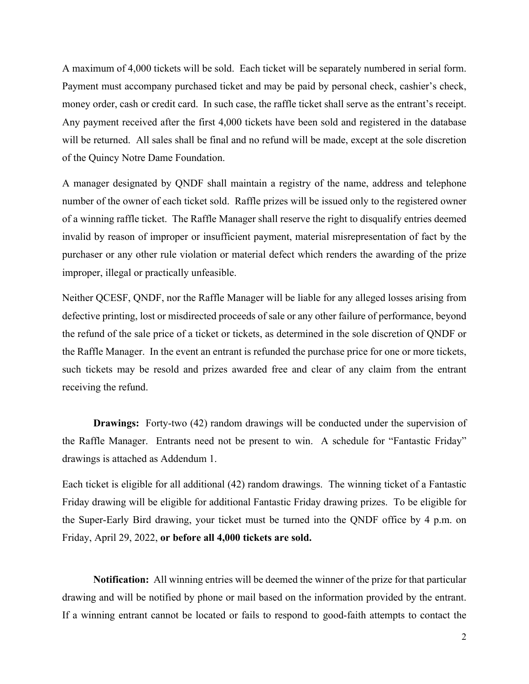A maximum of 4,000 tickets will be sold. Each ticket will be separately numbered in serial form. Payment must accompany purchased ticket and may be paid by personal check, cashier's check, money order, cash or credit card. In such case, the raffle ticket shall serve as the entrant's receipt. Any payment received after the first 4,000 tickets have been sold and registered in the database will be returned. All sales shall be final and no refund will be made, except at the sole discretion of the Quincy Notre Dame Foundation.

A manager designated by QNDF shall maintain a registry of the name, address and telephone number of the owner of each ticket sold. Raffle prizes will be issued only to the registered owner of a winning raffle ticket. The Raffle Manager shall reserve the right to disqualify entries deemed invalid by reason of improper or insufficient payment, material misrepresentation of fact by the purchaser or any other rule violation or material defect which renders the awarding of the prize improper, illegal or practically unfeasible.

Neither QCESF, QNDF, nor the Raffle Manager will be liable for any alleged losses arising from defective printing, lost or misdirected proceeds of sale or any other failure of performance, beyond the refund of the sale price of a ticket or tickets, as determined in the sole discretion of QNDF or the Raffle Manager. In the event an entrant is refunded the purchase price for one or more tickets, such tickets may be resold and prizes awarded free and clear of any claim from the entrant receiving the refund.

**Drawings:** Forty-two (42) random drawings will be conducted under the supervision of the Raffle Manager. Entrants need not be present to win. A schedule for "Fantastic Friday" drawings is attached as Addendum 1.

Each ticket is eligible for all additional (42) random drawings. The winning ticket of a Fantastic Friday drawing will be eligible for additional Fantastic Friday drawing prizes. To be eligible for the Super-Early Bird drawing, your ticket must be turned into the QNDF office by 4 p.m. on Friday, April 29, 2022, **or before all 4,000 tickets are sold.**

**Notification:** All winning entries will be deemed the winner of the prize for that particular drawing and will be notified by phone or mail based on the information provided by the entrant. If a winning entrant cannot be located or fails to respond to good-faith attempts to contact the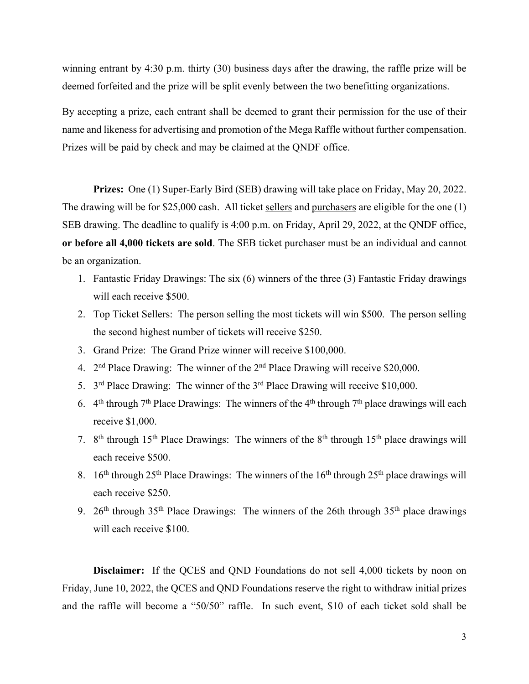winning entrant by 4:30 p.m. thirty (30) business days after the drawing, the raffle prize will be deemed forfeited and the prize will be split evenly between the two benefitting organizations.

By accepting a prize, each entrant shall be deemed to grant their permission for the use of their name and likeness for advertising and promotion of the Mega Raffle without further compensation. Prizes will be paid by check and may be claimed at the QNDF office.

**Prizes:** One (1) Super-Early Bird (SEB) drawing will take place on Friday, May 20, 2022. The drawing will be for \$25,000 cash. All ticket sellers and purchasers are eligible for the one (1) SEB drawing. The deadline to qualify is 4:00 p.m. on Friday, April 29, 2022, at the QNDF office, **or before all 4,000 tickets are sold**. The SEB ticket purchaser must be an individual and cannot be an organization.

- 1. Fantastic Friday Drawings: The six (6) winners of the three (3) Fantastic Friday drawings will each receive \$500.
- 2. Top Ticket Sellers: The person selling the most tickets will win \$500. The person selling the second highest number of tickets will receive \$250.
- 3. Grand Prize: The Grand Prize winner will receive \$100,000.
- 4.  $2<sup>nd</sup> Place Drawing: The winner of the  $2<sup>nd</sup>$  Place Drawing will receive $20,000.$
- 5.  $3<sup>rd</sup>$  Place Drawing: The winner of the  $3<sup>rd</sup>$  Place Drawing will receive \$10,000.
- 6.  $4<sup>th</sup>$  through  $7<sup>th</sup>$  Place Drawings: The winners of the  $4<sup>th</sup>$  through  $7<sup>th</sup>$  place drawings will each receive \$1,000.
- 7.  $8<sup>th</sup>$  through 15<sup>th</sup> Place Drawings: The winners of the  $8<sup>th</sup>$  through 15<sup>th</sup> place drawings will each receive \$500.
- 8. 16<sup>th</sup> through 25<sup>th</sup> Place Drawings: The winners of the 16<sup>th</sup> through 25<sup>th</sup> place drawings will each receive \$250.
- 9. 26<sup>th</sup> through 35<sup>th</sup> Place Drawings: The winners of the 26th through  $35<sup>th</sup>$  place drawings will each receive \$100.

**Disclaimer:** If the QCES and QND Foundations do not sell 4,000 tickets by noon on Friday, June 10, 2022, the QCES and QND Foundations reserve the right to withdraw initial prizes and the raffle will become a "50/50" raffle. In such event, \$10 of each ticket sold shall be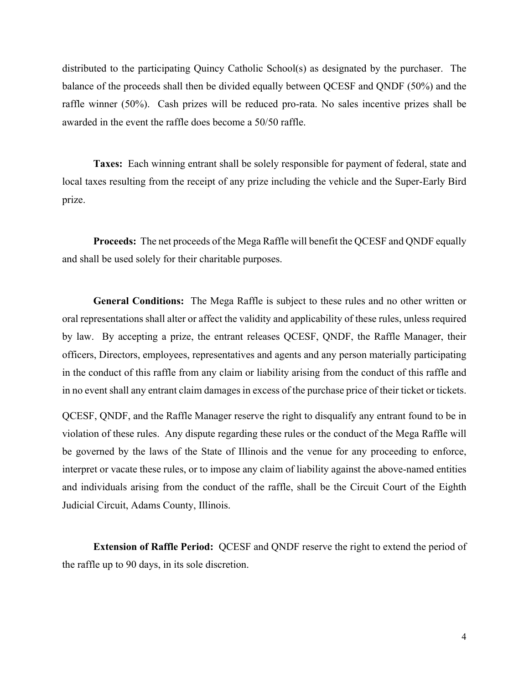distributed to the participating Quincy Catholic School(s) as designated by the purchaser. The balance of the proceeds shall then be divided equally between QCESF and QNDF (50%) and the raffle winner (50%). Cash prizes will be reduced pro-rata. No sales incentive prizes shall be awarded in the event the raffle does become a 50/50 raffle.

**Taxes:** Each winning entrant shall be solely responsible for payment of federal, state and local taxes resulting from the receipt of any prize including the vehicle and the Super-Early Bird prize.

**Proceeds:** The net proceeds of the Mega Raffle will benefit the QCESF and QNDF equally and shall be used solely for their charitable purposes.

**General Conditions:** The Mega Raffle is subject to these rules and no other written or oral representations shall alter or affect the validity and applicability of these rules, unless required by law. By accepting a prize, the entrant releases QCESF, QNDF, the Raffle Manager, their officers, Directors, employees, representatives and agents and any person materially participating in the conduct of this raffle from any claim or liability arising from the conduct of this raffle and in no event shall any entrant claim damages in excess of the purchase price of their ticket or tickets.

QCESF, QNDF, and the Raffle Manager reserve the right to disqualify any entrant found to be in violation of these rules. Any dispute regarding these rules or the conduct of the Mega Raffle will be governed by the laws of the State of Illinois and the venue for any proceeding to enforce, interpret or vacate these rules, or to impose any claim of liability against the above-named entities and individuals arising from the conduct of the raffle, shall be the Circuit Court of the Eighth Judicial Circuit, Adams County, Illinois.

**Extension of Raffle Period:** QCESF and QNDF reserve the right to extend the period of the raffle up to 90 days, in its sole discretion.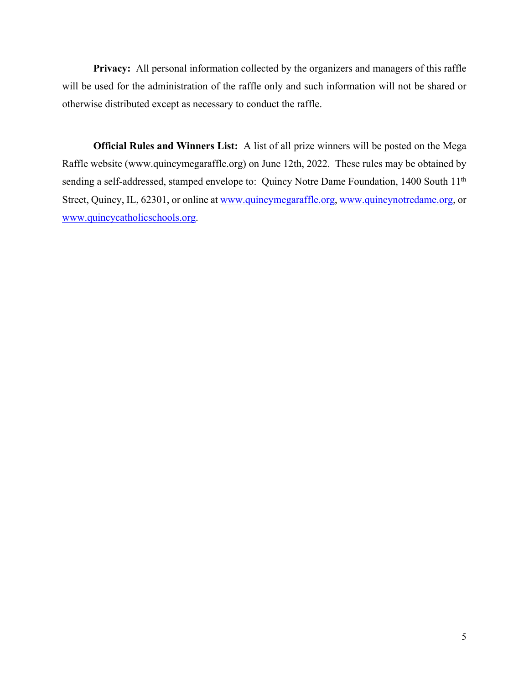**Privacy:** All personal information collected by the organizers and managers of this raffle will be used for the administration of the raffle only and such information will not be shared or otherwise distributed except as necessary to conduct the raffle.

**Official Rules and Winners List:** A list of all prize winners will be posted on the Mega Raffle website (www.quincymegaraffle.org) on June 12th, 2022. These rules may be obtained by sending a self-addressed, stamped envelope to: Quincy Notre Dame Foundation, 1400 South 11<sup>th</sup> Street, Quincy, IL, 62301, or online at www.quincymegaraffle.org, www.quincynotredame.org, or www.quincycatholicschools.org.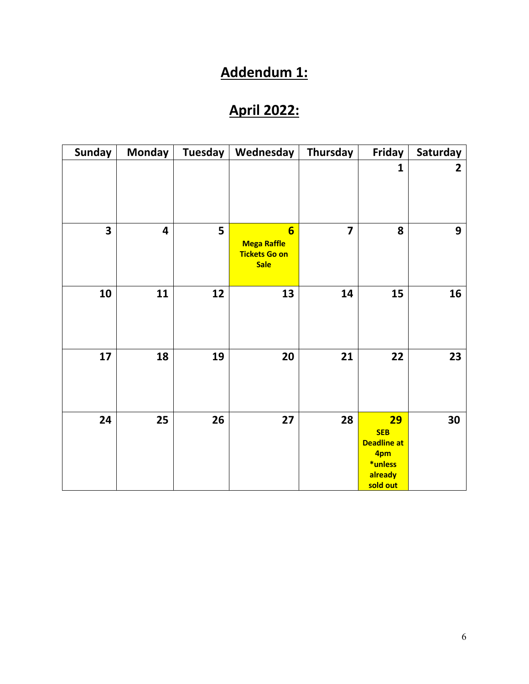## **Addendum 1:**

## **April 2022:**

| <b>Sunday</b> | <b>Monday</b>           | <b>Tuesday</b> | Wednesday                                                                    | Thursday       | Friday                                                                                 | Saturday |
|---------------|-------------------------|----------------|------------------------------------------------------------------------------|----------------|----------------------------------------------------------------------------------------|----------|
|               |                         |                |                                                                              |                | $\mathbf{1}$                                                                           | 2        |
| 3             | $\overline{\mathbf{4}}$ | 5              | $6\overline{6}$<br><b>Mega Raffle</b><br><b>Tickets Go on</b><br><b>Sale</b> | $\overline{7}$ | 8                                                                                      | 9        |
| 10            | 11                      | 12             | 13                                                                           | 14             | 15                                                                                     | 16       |
| 17            | 18                      | 19             | 20                                                                           | 21             | 22                                                                                     | 23       |
| 24            | 25                      | 26             | 27                                                                           | 28             | <b>29</b><br><b>SEB</b><br><b>Deadline at</b><br>4pm<br>*unless<br>already<br>sold out | 30       |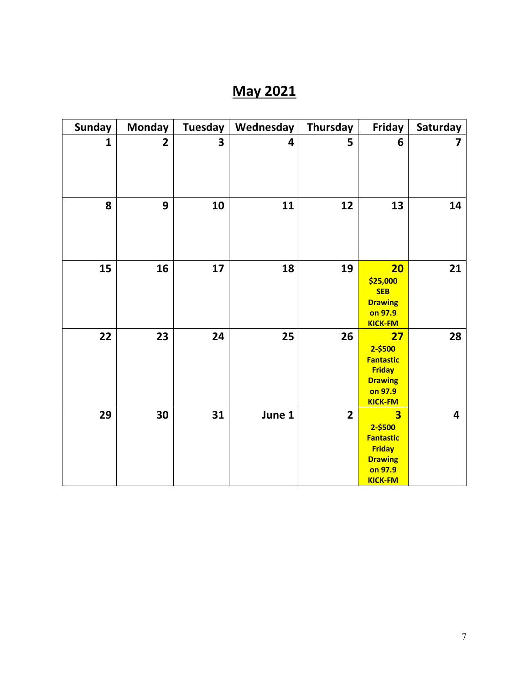# **May 2021**

| <b>Sunday</b> | <b>Monday</b>  | <b>Tuesday</b>          | Wednesday | Thursday       | Friday                                                                                                                 | Saturday                |
|---------------|----------------|-------------------------|-----------|----------------|------------------------------------------------------------------------------------------------------------------------|-------------------------|
| $\mathbf{1}$  | $\overline{2}$ | $\overline{\mathbf{3}}$ | 4         | 5              | 6                                                                                                                      | 7                       |
| 8             | 9              | 10                      | 11        | 12             | 13                                                                                                                     | 14                      |
| 15            | 16             | 17                      | 18        | 19             | 20<br>\$25,000<br><b>SEB</b><br><b>Drawing</b><br>on 97.9<br><b>KICK-FM</b>                                            | 21                      |
| 22            | 23             | 24                      | 25        | 26             | 27<br>2-\$500<br><b>Fantastic</b><br><b>Friday</b><br><b>Drawing</b><br>on 97.9<br><b>KICK-FM</b>                      | 28                      |
| 29            | 30             | 31                      | June 1    | $\overline{2}$ | $\overline{\mathbf{3}}$<br>2-\$500<br><b>Fantastic</b><br><b>Friday</b><br><b>Drawing</b><br>on 97.9<br><b>KICK-FM</b> | $\overline{\mathbf{4}}$ |